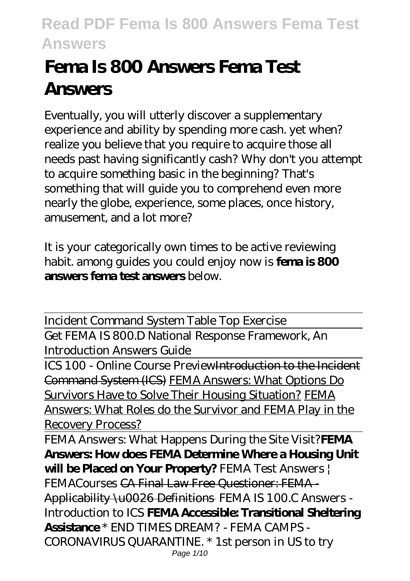# **Fema Is 800 Answers Fema Test Answers**

Eventually, you will utterly discover a supplementary experience and ability by spending more cash. yet when? realize you believe that you require to acquire those all needs past having significantly cash? Why don't you attempt to acquire something basic in the beginning? That's something that will guide you to comprehend even more nearly the globe, experience, some places, once history, amusement, and a lot more?

It is your categorically own times to be active reviewing habit. among guides you could enjoy now is **fema is 800 answers fema test answers** below.

Incident Command System Table Top Exercise Get FEMA IS 800.D National Response Framework, An Introduction Answers Guide

ICS 100 - Online Course PreviewIntroduction to the Incident Command System (ICS) FEMA Answers: What Options Do Survivors Have to Solve Their Housing Situation? FEMA Answers: What Roles do the Survivor and FEMA Play in the Recovery Process?

FEMA Answers: What Happens During the Site Visit?**FEMA Answers: How does FEMA Determine Where a Housing Unit will be Placed on Your Property?** FEMA Test Answers | FEMACourses CA Final Law Free Questioner: FEMA - Applicability \u0026 Definitions FEMA IS 100.C Answers - Introduction to ICS **FEMA Accessible: Transitional Sheltering Assistance** \* END TIMES DREAM? - FEMA CAMPS - CORONAVIRUS QUARANTINE. \* 1st person in US to try Page 1/10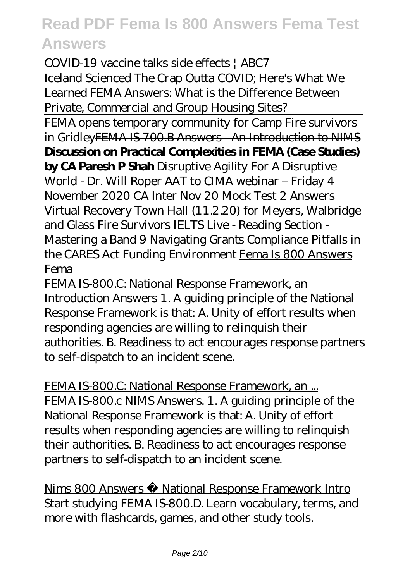COVID-19 vaccine talks side effects | ABC7

Iceland Scienced The Crap Outta COVID; Here's What We Learned FEMA Answers: What is the Difference Between Private, Commercial and Group Housing Sites?

FEMA opens temporary community for Camp Fire survivors in GridleyFEMA IS 700.B Answers - An Introduction to NIMS **Discussion on Practical Complexities in FEMA (Case Studies)**

**by CA Paresh P Shah** Disruptive Agility For A Disruptive World - Dr. Will Roper *AAT to CIMA webinar – Friday 4 November 2020 CA Inter Nov 20 Mock Test 2 Answers* Virtual Recovery Town Hall (11.2.20) for Meyers, Walbridge and Glass Fire Survivors *IELTS Live - Reading Section - Mastering a Band 9 Navigating Grants Compliance Pitfalls in the CARES Act Funding Environment* Fema Is 800 Answers Fema

FEMA IS-800.C: National Response Framework, an Introduction Answers 1. A guiding principle of the National Response Framework is that: A. Unity of effort results when responding agencies are willing to relinquish their authorities. B. Readiness to act encourages response partners to self-dispatch to an incident scene.

FEMA IS-800.C: National Response Framework, an ... FEMA IS-800.c NIMS Answers. 1. A guiding principle of the National Response Framework is that: A. Unity of effort results when responding agencies are willing to relinquish their authorities. B. Readiness to act encourages response partners to self-dispatch to an incident scene.

Nims 800 Answers National Response Framework Intro Start studying FEMA IS-800.D. Learn vocabulary, terms, and more with flashcards, games, and other study tools.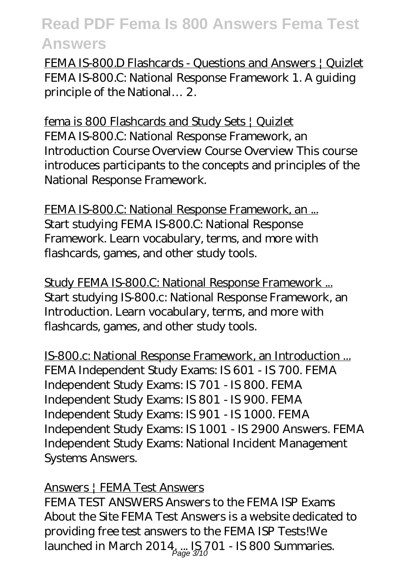FEMA IS-800.D Flashcards - Questions and Answers | Quizlet FEMA IS-800.C: National Response Framework 1. A guiding principle of the National… 2.

fema is 800 Flashcards and Study Sets | Quizlet FEMA IS-800.C: National Response Framework, an Introduction Course Overview Course Overview This course introduces participants to the concepts and principles of the National Response Framework.

FEMA IS-800.C: National Response Framework, an ... Start studying FEMA IS-800.C: National Response Framework. Learn vocabulary, terms, and more with flashcards, games, and other study tools.

Study FEMA IS-800.C: National Response Framework ... Start studying IS-800.c: National Response Framework, an Introduction. Learn vocabulary, terms, and more with flashcards, games, and other study tools.

IS-800.c: National Response Framework, an Introduction ... FEMA Independent Study Exams: IS 601 - IS 700. FEMA Independent Study Exams: IS 701 - IS 800. FEMA Independent Study Exams: IS 801 - IS 900. FEMA Independent Study Exams: IS 901 - IS 1000. FEMA Independent Study Exams: IS 1001 - IS 2900 Answers. FEMA Independent Study Exams: National Incident Management Systems Answers.

#### Answers | FEMA Test Answers

FEMA TEST ANSWERS Answers to the FEMA ISP Exams About the Site FEMA Test Answers is a website dedicated to providing free test answers to the FEMA ISP Tests!We launched in March 201 $4^{\circ}_{\rho_{\text{age}}3\gamma_{0}}$ TO1 - IS 800 Summaries.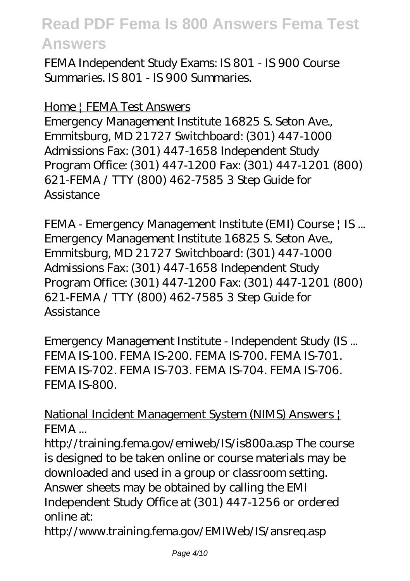FEMA Independent Study Exams: IS 801 - IS 900 Course Summaries. IS 801 - IS 900 Summaries.

#### Home | FEMA Test Answers

Emergency Management Institute 16825 S. Seton Ave., Emmitsburg, MD 21727 Switchboard: (301) 447-1000 Admissions Fax: (301) 447-1658 Independent Study Program Office: (301) 447-1200 Fax: (301) 447-1201 (800) 621-FEMA / TTY (800) 462-7585 3 Step Guide for **Assistance** 

FEMA - Emergency Management Institute (EMI) Course | IS... Emergency Management Institute 16825 S. Seton Ave., Emmitsburg, MD 21727 Switchboard: (301) 447-1000 Admissions Fax: (301) 447-1658 Independent Study Program Office: (301) 447-1200 Fax: (301) 447-1201 (800) 621-FEMA / TTY (800) 462-7585 3 Step Guide for **Assistance** 

Emergency Management Institute - Independent Study (IS ... FEMA IS-100. FEMA IS-200. FEMA IS-700. FEMA IS-701. FEMA IS-702. FEMA IS-703. FEMA IS-704. FEMA IS-706. FEMA IS-800.

National Incident Management System (NIMS) Answers | FEMA ...

http://training.fema.gov/emiweb/IS/is800a.asp The course is designed to be taken online or course materials may be downloaded and used in a group or classroom setting. Answer sheets may be obtained by calling the EMI Independent Study Office at (301) 447-1256 or ordered online at:

http://www.training.fema.gov/EMIWeb/IS/ansreq.asp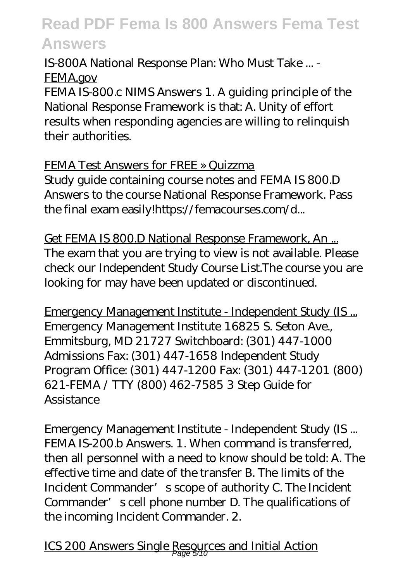### IS-800A National Response Plan: Who Must Take ... - FEMA.gov

FEMA IS-800.c NIMS Answers 1. A guiding principle of the National Response Framework is that: A. Unity of effort results when responding agencies are willing to relinquish their authorities.

### FEMA Test Answers for FREE » Quizzma

Study guide containing course notes and FEMA IS 800.D Answers to the course National Response Framework. Pass the final exam easily!https://femacourses.com/d...

Get FEMA IS 800.D National Response Framework, An ... The exam that you are trying to view is not available. Please check our Independent Study Course List.The course you are looking for may have been updated or discontinued.

Emergency Management Institute - Independent Study (IS ... Emergency Management Institute 16825 S. Seton Ave., Emmitsburg, MD 21727 Switchboard: (301) 447-1000 Admissions Fax: (301) 447-1658 Independent Study Program Office: (301) 447-1200 Fax: (301) 447-1201 (800) 621-FEMA / TTY (800) 462-7585 3 Step Guide for Assistance

Emergency Management Institute - Independent Study (IS ... FEMA IS-200.b Answers. 1. When command is transferred, then all personnel with a need to know should be told: A. The effective time and date of the transfer B. The limits of the Incident Commander's scope of authority C. The Incident Commander's cell phone number D. The qualifications of the incoming Incident Commander. 2.

ICS 200 Answers Single Resources and Initial Action Page 5/10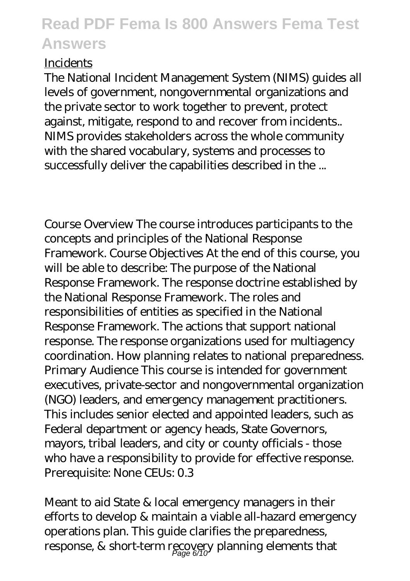### **Incidents**

The National Incident Management System (NIMS) guides all levels of government, nongovernmental organizations and the private sector to work together to prevent, protect against, mitigate, respond to and recover from incidents.. NIMS provides stakeholders across the whole community with the shared vocabulary, systems and processes to successfully deliver the capabilities described in the ...

Course Overview The course introduces participants to the concepts and principles of the National Response Framework. Course Objectives At the end of this course, you will be able to describe: The purpose of the National Response Framework. The response doctrine established by the National Response Framework. The roles and responsibilities of entities as specified in the National Response Framework. The actions that support national response. The response organizations used for multiagency coordination. How planning relates to national preparedness. Primary Audience This course is intended for government executives, private-sector and nongovernmental organization (NGO) leaders, and emergency management practitioners. This includes senior elected and appointed leaders, such as Federal department or agency heads, State Governors, mayors, tribal leaders, and city or county officials - those who have a responsibility to provide for effective response. Prerequisite: None CEUs: 0.3

Meant to aid State & local emergency managers in their efforts to develop & maintain a viable all-hazard emergency operations plan. This guide clarifies the preparedness, response, & short-term recovery planning elements that Page 6/10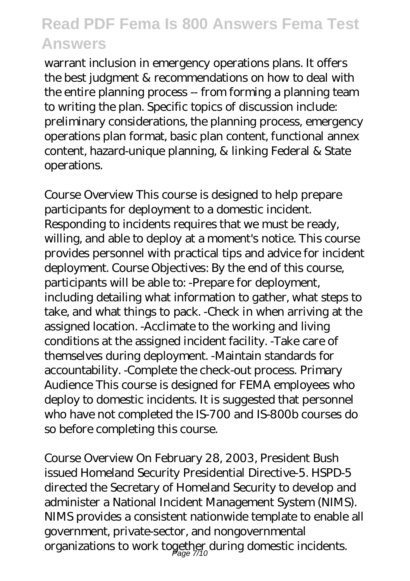warrant inclusion in emergency operations plans. It offers the best judgment & recommendations on how to deal with the entire planning process -- from forming a planning team to writing the plan. Specific topics of discussion include: preliminary considerations, the planning process, emergency operations plan format, basic plan content, functional annex content, hazard-unique planning, & linking Federal & State operations.

Course Overview This course is designed to help prepare participants for deployment to a domestic incident. Responding to incidents requires that we must be ready, willing, and able to deploy at a moment's notice. This course provides personnel with practical tips and advice for incident deployment. Course Objectives: By the end of this course, participants will be able to: -Prepare for deployment, including detailing what information to gather, what steps to take, and what things to pack. -Check in when arriving at the assigned location. -Acclimate to the working and living conditions at the assigned incident facility. -Take care of themselves during deployment. -Maintain standards for accountability. -Complete the check-out process. Primary Audience This course is designed for FEMA employees who deploy to domestic incidents. It is suggested that personnel who have not completed the IS-700 and IS-800b courses do so before completing this course.

Course Overview On February 28, 2003, President Bush issued Homeland Security Presidential Directive-5. HSPD-5 directed the Secretary of Homeland Security to develop and administer a National Incident Management System (NIMS). NIMS provides a consistent nationwide template to enable all government, private-sector, and nongovernmental organizations to work together during domestic incidents. Page 7/10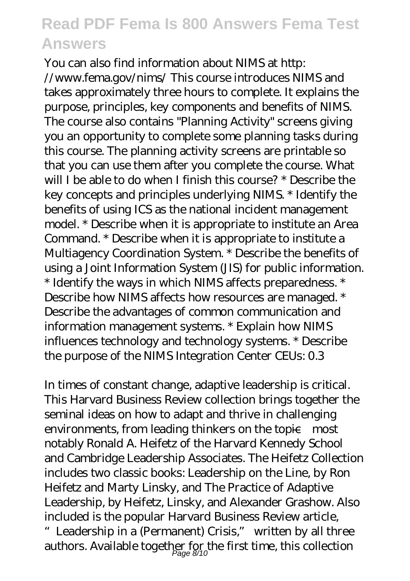You can also find information about NIMS at http: //www.fema.gov/nims/ This course introduces NIMS and takes approximately three hours to complete. It explains the purpose, principles, key components and benefits of NIMS. The course also contains "Planning Activity" screens giving you an opportunity to complete some planning tasks during this course. The planning activity screens are printable so that you can use them after you complete the course. What will I be able to do when I finish this course? \* Describe the key concepts and principles underlying NIMS. \* Identify the benefits of using ICS as the national incident management model. \* Describe when it is appropriate to institute an Area Command. \* Describe when it is appropriate to institute a Multiagency Coordination System. \* Describe the benefits of using a Joint Information System (JIS) for public information. \* Identify the ways in which NIMS affects preparedness. \* Describe how NIMS affects how resources are managed. \* Describe the advantages of common communication and information management systems. \* Explain how NIMS influences technology and technology systems. \* Describe the purpose of the NIMS Integration Center CEUs: 0.3

In times of constant change, adaptive leadership is critical. This Harvard Business Review collection brings together the seminal ideas on how to adapt and thrive in challenging environments, from leading thinkers on the topic—most notably Ronald A. Heifetz of the Harvard Kennedy School and Cambridge Leadership Associates. The Heifetz Collection includes two classic books: Leadership on the Line, by Ron Heifetz and Marty Linsky, and The Practice of Adaptive Leadership, by Heifetz, Linsky, and Alexander Grashow. Also included is the popular Harvard Business Review article, "Leadership in a (Permanent) Crisis," written by all three authors. Available together for the first time, this collection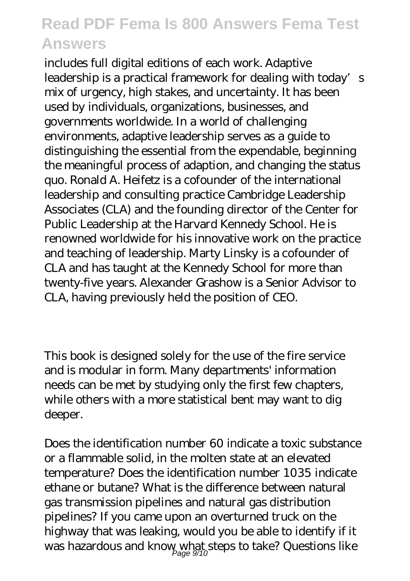includes full digital editions of each work. Adaptive leadership is a practical framework for dealing with today's mix of urgency, high stakes, and uncertainty. It has been used by individuals, organizations, businesses, and governments worldwide. In a world of challenging environments, adaptive leadership serves as a guide to distinguishing the essential from the expendable, beginning the meaningful process of adaption, and changing the status quo. Ronald A. Heifetz is a cofounder of the international leadership and consulting practice Cambridge Leadership Associates (CLA) and the founding director of the Center for Public Leadership at the Harvard Kennedy School. He is renowned worldwide for his innovative work on the practice and teaching of leadership. Marty Linsky is a cofounder of CLA and has taught at the Kennedy School for more than twenty-five years. Alexander Grashow is a Senior Advisor to CLA, having previously held the position of CEO.

This book is designed solely for the use of the fire service and is modular in form. Many departments' information needs can be met by studying only the first few chapters, while others with a more statistical bent may want to dig deeper.

Does the identification number 60 indicate a toxic substance or a flammable solid, in the molten state at an elevated temperature? Does the identification number 1035 indicate ethane or butane? What is the difference between natural gas transmission pipelines and natural gas distribution pipelines? If you came upon an overturned truck on the highway that was leaking, would you be able to identify if it was hazardous and know what steps to take? Questions like